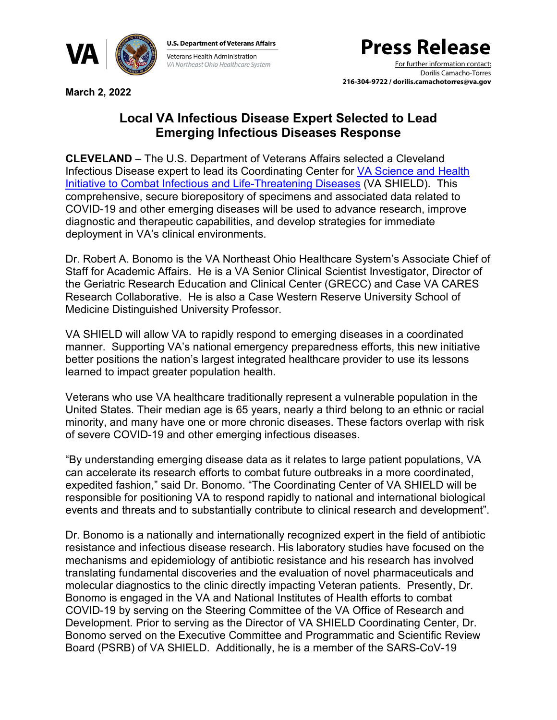

**U.S. Department of Veterans Affairs Veterans Health Administration** VA Northeast Ohio Healthcare System

## **Press Release**

For further information contact: Dorilis Camacho-Torres **216-304-9722 / dorilis.camachotorres@va.gov**

**March 2, 2022**

## **Local VA Infectious Disease Expert Selected to Lead Emerging Infectious Diseases Response**

**CLEVELAND** – The U.S. Department of Veterans Affairs selected a Cleveland Infectious Disease expert to lead its Coordinating Center for [VA Science and Health](https://www.research.va.gov/programs/shield/default.cfm)  [Initiative to Combat Infectious and Life-Threatening Diseases](https://www.research.va.gov/programs/shield/default.cfm) (VA SHIELD). This comprehensive, secure biorepository of specimens and associated data related to COVID-19 and other emerging diseases will be used to advance research, improve diagnostic and therapeutic capabilities, and develop strategies for immediate deployment in VA's clinical environments.

Dr. Robert A. Bonomo is the VA Northeast Ohio Healthcare System's Associate Chief of Staff for Academic Affairs. He is a VA Senior Clinical Scientist Investigator, Director of the Geriatric Research Education and Clinical Center (GRECC) and Case VA CARES Research Collaborative. He is also a Case Western Reserve University School of Medicine Distinguished University Professor.

VA SHIELD will allow VA to rapidly respond to emerging diseases in a coordinated manner. Supporting VA's national emergency preparedness efforts, this new initiative better positions the nation's largest integrated healthcare provider to use its lessons learned to impact greater population health.

Veterans who use VA healthcare traditionally represent a vulnerable population in the United States. Their median age is 65 years, nearly a third belong to an ethnic or racial minority, and many have one or more chronic diseases. These factors overlap with risk of severe COVID-19 and other emerging infectious diseases.

"By understanding emerging disease data as it relates to large patient populations, VA can accelerate its research efforts to combat future outbreaks in a more coordinated, expedited fashion," said Dr. Bonomo. "The Coordinating Center of VA SHIELD will be responsible for positioning VA to respond rapidly to national and international biological events and threats and to substantially contribute to clinical research and development".

Dr. Bonomo is a nationally and internationally recognized expert in the field of antibiotic resistance and infectious disease research. His laboratory studies have focused on the mechanisms and epidemiology of antibiotic resistance and his research has involved translating fundamental discoveries and the evaluation of novel pharmaceuticals and molecular diagnostics to the clinic directly impacting Veteran patients. Presently, Dr. Bonomo is engaged in the VA and National Institutes of Health efforts to combat COVID-19 by serving on the Steering Committee of the VA Office of Research and Development. Prior to serving as the Director of VA SHIELD Coordinating Center, Dr. Bonomo served on the Executive Committee and Programmatic and Scientific Review Board (PSRB) of VA SHIELD. Additionally, he is a member of the SARS-CoV-19